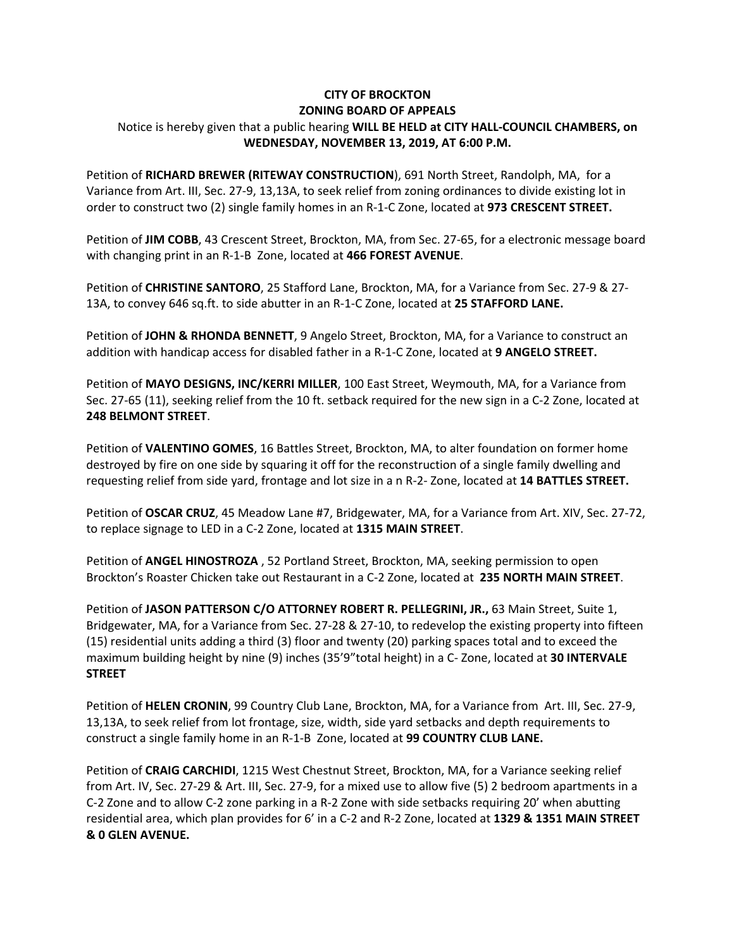## **CITY OF BROCKTON ZONING BOARD OF APPEALS**

## Notice is hereby given that a public hearing **WILL BE HELD at CITY HALL‐COUNCIL CHAMBERS, on WEDNESDAY, NOVEMBER 13, 2019, AT 6:00 P.M.**

  Petition of **RICHARD BREWER (RITEWAY CONSTRUCTION**), 691 North Street, Randolph, MA, for a Variance from Art. III, Sec. 27‐9, 13,13A, to seek relief from zoning ordinances to divide existing lot in  order to construct two (2) single family homes in an R‐1‐C Zone, located at **973 CRESCENT STREET.**

 Petition of **JIM COBB**, 43 Crescent Street, Brockton, MA, from Sec. 27‐65, for a electronic message board  with changing print in an R‐1‐B Zone, located at **466 FOREST AVENUE**.

 Petition of **CHRISTINE SANTORO**, 25 Stafford Lane, Brockton, MA, for a Variance from Sec. 27‐9 & 27‐  13A, to convey 646 sq.ft. to side abutter in an R‐1‐C Zone, located at **25 STAFFORD LANE.**

  Petition of **JOHN & RHONDA BENNETT**, 9 Angelo Street, Brockton, MA, for a Variance to construct an  addition with handicap access for disabled father in a R‐1‐C Zone, located at **9 ANGELO STREET.**

  Petition of **MAYO DESIGNS, INC/KERRI MILLER**, 100 East Street, Weymouth, MA, for a Variance from Sec. 27‐65 (11), seeking relief from the 10 ft. setback required for the new sign in a C‐2 Zone, located at  **248 BELMONT STREET**.

 Petition of **VALENTINO GOMES**, 16 Battles Street, Brockton, MA, to alter foundation on former home destroyed by fire on one side by squaring it off for the reconstruction of a single family dwelling and  requesting relief from side yard, frontage and lot size in a n R‐2‐ Zone, located at **14 BATTLES STREET.**

 Petition of **OSCAR CRUZ**, 45 Meadow Lane #7, Bridgewater, MA, for a Variance from Art. XIV, Sec. 27‐72,  to replace signage to LED in a C‐2 Zone, located at **1315 MAIN STREET**.

 Petition of **ANGEL HINOSTROZA** , 52 Portland Street, Brockton, MA, seeking permission to open  Brockton's Roaster Chicken take out Restaurant in a C‐2 Zone, located at **235 NORTH MAIN STREET**.

  Petition of **JASON PATTERSON C/O ATTORNEY ROBERT R. PELLEGRINI, JR.,** 63 Main Street, Suite 1, Bridgewater, MA, for a Variance from Sec. 27‐28 & 27‐10, to redevelop the existing property into fifteen (15) residential units adding a third (3) floor and twenty (20) parking spaces total and to exceed the  maximum building height by nine (9) inches (35'9"total height) in a C‐ Zone, located at **30 INTERVALE STREET**

 Petition of **HELEN CRONIN**, 99 Country Club Lane, Brockton, MA, for a Variance from Art. III, Sec. 27‐9, 13,13A, to seek relief from lot frontage, size, width, side yard setbacks and depth requirements to  construct a single family home in an R‐1‐B Zone, located at **99 COUNTRY CLUB LANE.**

 Petition of **CRAIG CARCHIDI**, 1215 West Chestnut Street, Brockton, MA, for a Variance seeking relief from Art. IV, Sec. 27‐29 & Art. III, Sec. 27‐9, for a mixed use to allow five (5) 2 bedroom apartments in a C‐2 Zone and to allow C‐2 zone parking in a R‐2 Zone with side setbacks requiring 20' when abutting  residential area, which plan provides for 6' in a C‐2 and R‐2 Zone, located at **1329 & 1351 MAIN STREET & 0 GLEN AVENUE.**